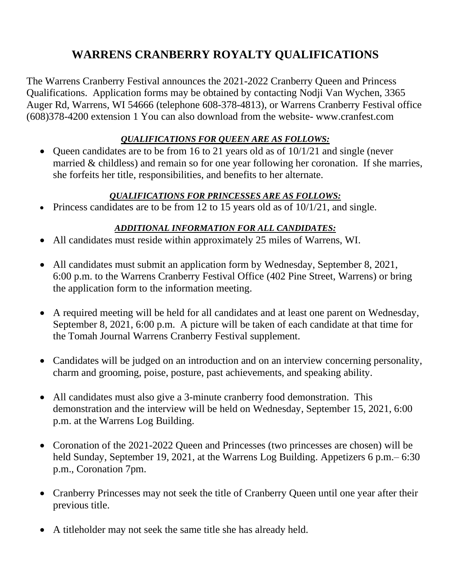## **WARRENS CRANBERRY ROYALTY QUALIFICATIONS**

The Warrens Cranberry Festival announces the 2021-2022 Cranberry Queen and Princess Qualifications. Application forms may be obtained by contacting Nodji Van Wychen, 3365 Auger Rd, Warrens, WI 54666 (telephone 608-378-4813), or Warrens Cranberry Festival office (608)378-4200 extension 1 You can also download from the website- www.cranfest.com

## *QUALIFICATIONS FOR QUEEN ARE AS FOLLOWS:*

• Queen candidates are to be from 16 to 21 years old as of 10/1/21 and single (never married & childless) and remain so for one year following her coronation. If she marries, she forfeits her title, responsibilities, and benefits to her alternate.

## *QUALIFICATIONS FOR PRINCESSES ARE AS FOLLOWS:*

• Princess candidates are to be from 12 to 15 years old as of  $10/1/21$ , and single.

## *ADDITIONAL INFORMATION FOR ALL CANDIDATES:*

- All candidates must reside within approximately 25 miles of Warrens, WI.
- All candidates must submit an application form by Wednesday, September 8, 2021, 6:00 p.m. to the Warrens Cranberry Festival Office (402 Pine Street, Warrens) or bring the application form to the information meeting.
- A required meeting will be held for all candidates and at least one parent on Wednesday, September 8, 2021, 6:00 p.m. A picture will be taken of each candidate at that time for the Tomah Journal Warrens Cranberry Festival supplement.
- Candidates will be judged on an introduction and on an interview concerning personality, charm and grooming, poise, posture, past achievements, and speaking ability.
- All candidates must also give a 3-minute cranberry food demonstration. This demonstration and the interview will be held on Wednesday, September 15, 2021, 6:00 p.m. at the Warrens Log Building.
- Coronation of the 2021-2022 Queen and Princesses (two princesses are chosen) will be held Sunday, September 19, 2021, at the Warrens Log Building. Appetizers 6 p.m.– 6:30 p.m., Coronation 7pm.
- Cranberry Princesses may not seek the title of Cranberry Queen until one year after their previous title.
- A titleholder may not seek the same title she has already held.